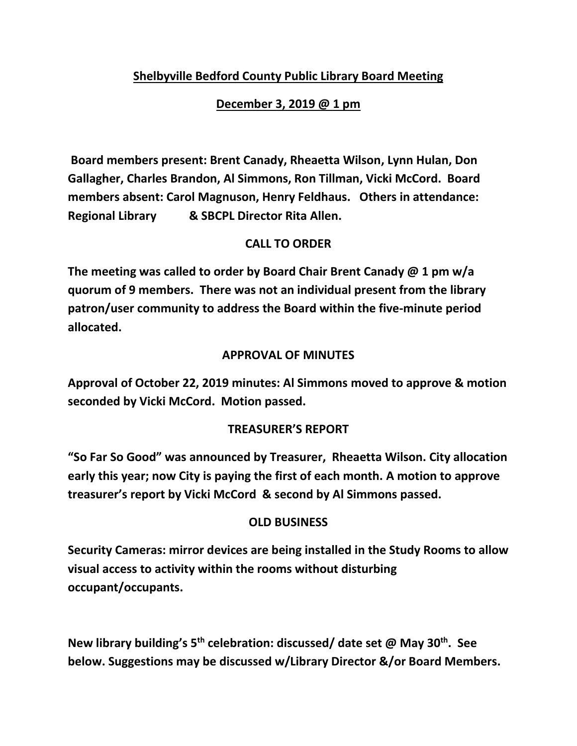# **Shelbyville Bedford County Public Library Board Meeting**

### **December 3, 2019 @ 1 pm**

**Board members present: Brent Canady, Rheaetta Wilson, Lynn Hulan, Don Gallagher, Charles Brandon, Al Simmons, Ron Tillman, Vicki McCord. Board members absent: Carol Magnuson, Henry Feldhaus. Others in attendance: Regional Library & SBCPL Director Rita Allen.**

## **CALL TO ORDER**

**The meeting was called to order by Board Chair Brent Canady @ 1 pm w/a quorum of 9 members. There was not an individual present from the library patron/user community to address the Board within the five-minute period allocated.**

### **APPROVAL OF MINUTES**

**Approval of October 22, 2019 minutes: Al Simmons moved to approve & motion seconded by Vicki McCord. Motion passed.**

### **TREASURER'S REPORT**

**"So Far So Good" was announced by Treasurer, Rheaetta Wilson. City allocation early this year; now City is paying the first of each month. A motion to approve treasurer's report by Vicki McCord & second by Al Simmons passed.**

### **OLD BUSINESS**

**Security Cameras: mirror devices are being installed in the Study Rooms to allow visual access to activity within the rooms without disturbing occupant/occupants.**

**New library building's 5th celebration: discussed/ date set @ May 30th. See below. Suggestions may be discussed w/Library Director &/or Board Members.**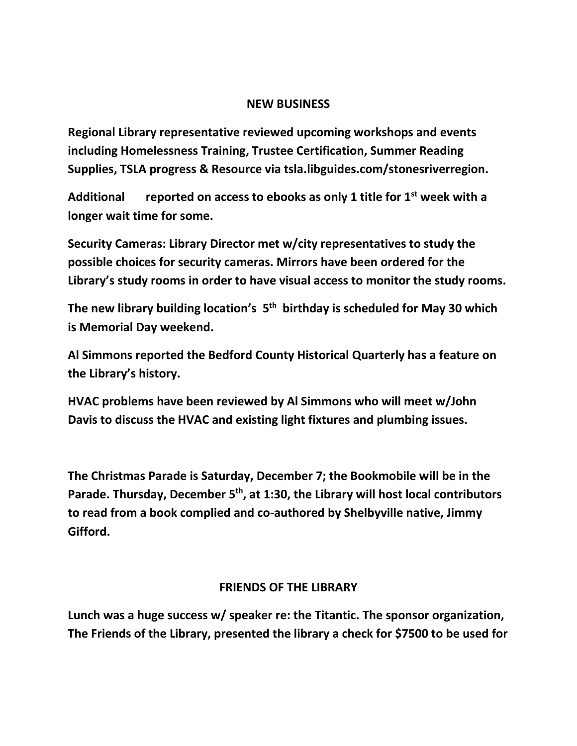#### **NEW BUSINESS**

**Regional Library representative reviewed upcoming workshops and events including Homelessness Training, Trustee Certification, Summer Reading Supplies, TSLA progress & Resource via tsla.libguides.com/stonesriverregion.**

**Additional reported on access to ebooks as only 1 title for 1st week with a longer wait time for some.**

**Security Cameras: Library Director met w/city representatives to study the possible choices for security cameras. Mirrors have been ordered for the Library's study rooms in order to have visual access to monitor the study rooms.**

**The new library building location's 5 th birthday is scheduled for May 30 which is Memorial Day weekend.**

**Al Simmons reported the Bedford County Historical Quarterly has a feature on the Library's history.**

**HVAC problems have been reviewed by Al Simmons who will meet w/John Davis to discuss the HVAC and existing light fixtures and plumbing issues.**

**The Christmas Parade is Saturday, December 7; the Bookmobile will be in the Parade. Thursday, December 5th, at 1:30, the Library will host local contributors to read from a book complied and co-authored by Shelbyville native, Jimmy Gifford.**

### **FRIENDS OF THE LIBRARY**

**Lunch was a huge success w/ speaker re: the Titantic. The sponsor organization, The Friends of the Library, presented the library a check for \$7500 to be used for**